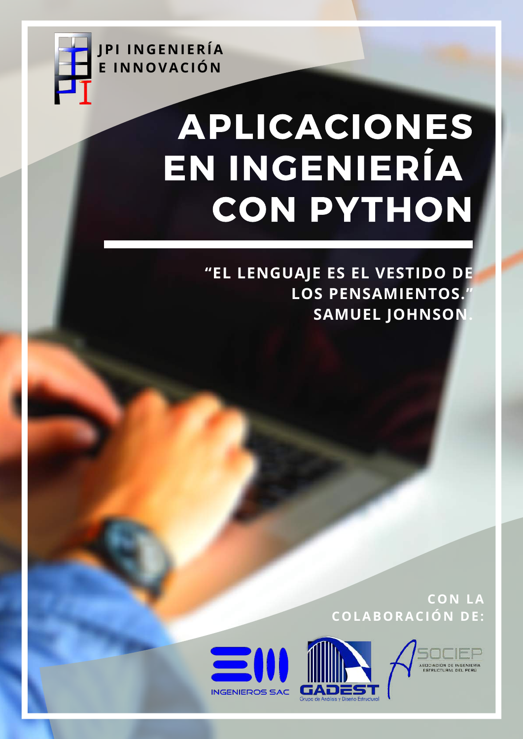

# APLICACIONES EN INGENIERÍA CON PYTHON

"EL LENGUAJE ES EL VESTIDO DE **LOS PENSAMIENTOS. SAMUEL JOHNSON** 

> **CON LA COLABORACIÓN DE:**





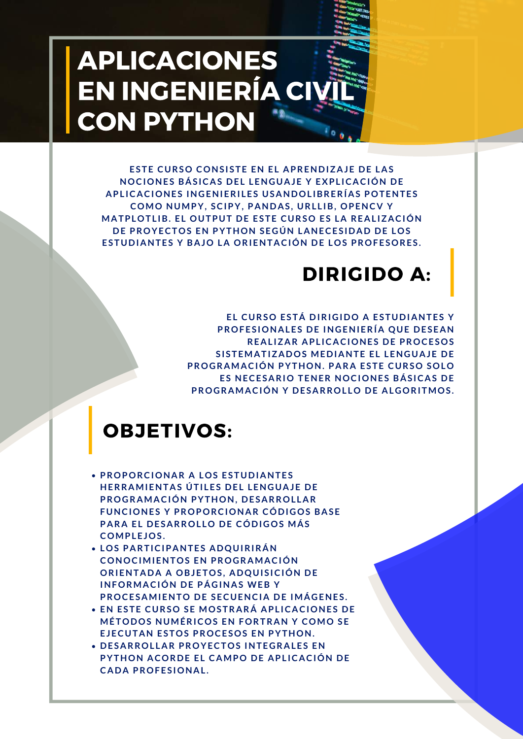## APLICACIONES EN INGENIERÍA CIV CON PYTHON

**ESTE CURSO CONS ISTE EN EL APRENDIZAJE DE LAS NOCIONES BÁS ICAS DEL LENGUAJE Y EXPL ICACIÓN DE APL ICACIONES INGENIERI LES USANDOL IBRERÍAS POTENTES COMO NUMPY, SCIPY, PANDAS , URL L IB, OPENCV Y MATPLOTL IB. EL OUTPUT DE ESTE CURSO ES LA REAL IZACIÓN DE PROYECTOS EN PYTHON SEGÚN LANECES IDAD DE LOS ESTUDIANTES Y BAJO LA ORIENTACIÓN DE LOS PROFESORES .**

## DIRIGIDO A:

**EL CURSO ESTÁ DIRIGIDO A ESTUDIANTES Y PROFES IONALES DE INGENIERÍA QUE DESEAN REAL IZAR APL ICACIONES DE PROCESOS S I STEMATIZADOS MEDIANTE EL LENGUAJE DE PROGRAMACIÓN PYTHON. PARA ESTE CURSO SOLO ES NECESARIO TENER NOCIONES BÁS ICAS DE PROGRAMACIÓN Y DESARROL LO DE ALGORITMOS .**

## OBJETIVOS:

- **PROPORCIONAR A LOS ESTUDIANTES HERRAMIENTAS ÚTI LES DEL LENGUAJE DE PROGRAMACIÓN PYTHON, DESARROL LAR FUNCIONES Y PROPORCIONAR CÓDIGOS BASE PARA EL DESARROL LO DE CÓDIGOS MÁS COMPLEJOS .**
- **LOS PARTICIPANTES ADQUIRIRÁN CONOCIMIENTOS EN PROGRAMACIÓN ORIENTADA A OBJETOS ,ADQUI S ICIÓN DE INFORMACIÓN DE PÁGINAS WEB Y PROCESAMIENTO DE SECUENCIA DE IMÁGENES .**
- **EN ESTE CURSO SE MOSTRARÁ APL ICACIONES DE MÉTODOS NUMÉRICOS EN FORTRAN Y COMO SE EJECUTAN ESTOS PROCESOS EN PYTHON.**
- **DESARROL LAR PROYECTOS INTEGRALES EN PYTHON ACORDE EL CAMPO DE APL ICACIÓN DE CADA PROFES IONAL .**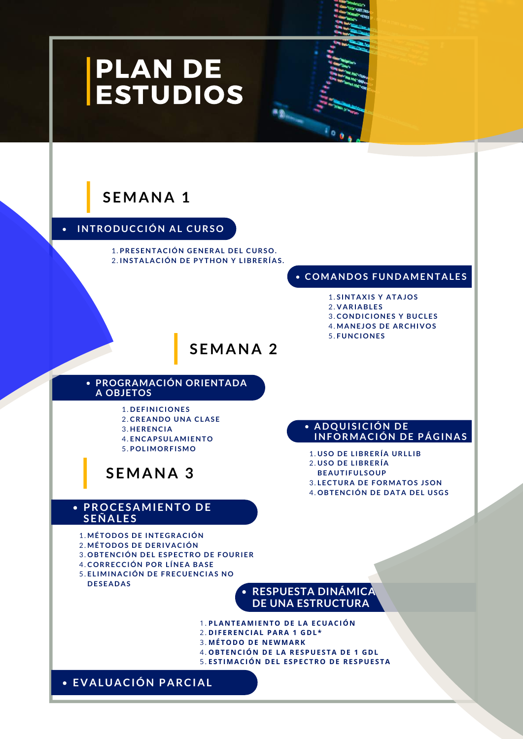## PLAN DE **ESTUDIOS**

## **SEMANA 1**

#### **INTRODUCCIÓN AL CURSO**

**PRESENTACIÓN GENERAL DEL CURSO.** 1. **INSTALACIÓN DE PYTHON Y L IBRERÍAS .** 2.

#### **COMANDOS FUNDAMENTALES**

- **S INTAXI S Y ATAJOS** 1.
- **VARIABLES** 2.
- **CONDICIONES Y BUCLES** 3.
- **MANEJOS DE ARCHIVOS** 4.
- **FUNCIONES** 5.

**ADQUI S ICIÓN DE**

**USO DE L IBRERÍA** 2. **BEAUTIFUL SOUP**

**USO DE L IBRERÍA URL L IB** 1.

**LECTURA DE FORMATOS J SON** 3. **OBTENCIÓN DE DATA DEL USGS** 4.

**INFORMACIÓN DE PÁGINAS**

### **SEMANA 2**

#### **PROGRAMACIÓN ORIENTADA A OBJETOS**

**DEF INICIONES** 1. **CREANDO UNA CLASE** 2. **HERENCIA** 3. **ENCAPSULAMIENTO** 4.

**POL IMORF ISMO** 5.

### **SEMANA 3**

#### **PROCESAMIENTO DE SEÑALES**

**MÉTODOS DE INTEGRACIÓN** 1.

- **MÉTODOS DE DERIVACIÓN** 2.
- **OBTENCIÓN DEL ESPECTRO DE FOURIER** 3.
- **CORRECCIÓN POR L ÍNEA BASE** 4.
- **EL IMINACIÓN DE FRECUENCIAS NO** 5. **DESEADAS**

#### **RESPUESTA DINÁMICA DE UNA ESTRUCTURA**

- **PLA N TEAMI E N TO DE LA ECUACIÓ N** 1.
- **DI F ERE N CIAL PARA 1 GDL\*** 2.
- **MÉTODO DE N EWMARK** 3.
- **OBTE N CIÓ N DE LA RE SPUE STA DE 1 GDL** 4.
- **E STIMACIÓ N DEL E SPECTRO DE RE SPUE STA** 5.

**EVALUACIÓN PARCIAL**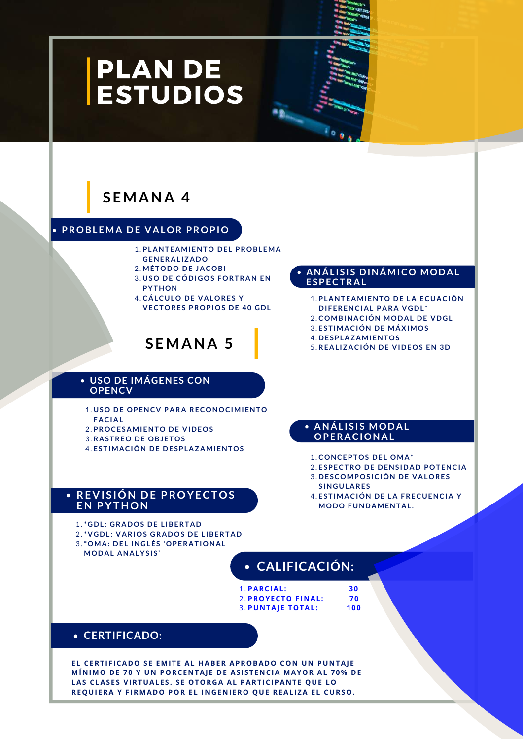## PLAN DE **ESTUDIOS**

### **SEMANA 4**

#### **PROBLEMA DE VALOR PROPIO**

- **PLANTEAMIENTO DEL PROBLEMA** 1.
- **GENERAL IZADO**
- **MÉTODO DE JACOBI** 2. **USO DE CÓDIGOS FORTRAN EN** 3. **PYTHON**
- **CÁLCULO DE VALORES Y** 4. **VECTORES PROPIOS DE 40 GDL**

## **SEMANA 5**

#### **USO DE IMÁGENES CON OPENCV**

- **USO DE OPENCV PARA RECONOCIMIENTO** 1. **FACIAL**
- **PROCESAMIENTO DE VIDEOS** 2.
- **RASTREO DE OBJETOS** 3.
- **ESTIMACIÓN DE DESPLAZAMIENTOS** 4.

#### **REVI S IÓN DE PROYECTOS** 4. **EN PYTHON**

- **\*GDL : GRADOS DE L IBERTAD** 1.
- **\*VGDL :VARIOS GRADOS DE L IBERTAD** 2.
- **\*OMA: DEL INGLÉS 'OPERATIONAL** 3.
- **MODAL ANALYS IS '**

### **CALIFICACIÓN:**

**PARCIAL: 30** 1. **PROYECTO F I N AL: 70** 2. **PU N TAJ E TOTAL: 100** 3.

#### **CERTIFICADO:**

**EVALUACIÓN PARCIAL LAS CLAS E S VIRTUALE S .S E OTORGA AL PARTICIPA N TE QUE LO EL CERTI F ICADO S E EMITE AL HABER APROBADO CO N U N PU N TAJ E MÍ N IMO DE 70 Y U N PORCE N TAJ E DE AS ISTE N CIA MAYOR AL 70% DE REQUI ERA Y F IRMADO POR EL I N GE N I ERO QUE REALIZA EL CURSO.**

#### **ANÁL I S I S DINÁMICO MODAL ESPECTRAL**

- **PLANTEAMIENTO DE LA ECUACIÓN** 1.
- **DIFERENCIAL PARA VGDL \***
- **COMBINACIÓN MODAL DE VDGL** 2.
- **ESTIMACIÓN DE MÁXIMOS** 3.
- **DESPLAZAMIENTOS** 4.
- **REAL IZACIÓN DE VIDEOS EN 3D** 5.

#### **ANÁL I S I S MODAL OPERACIONAL**

- **CONCEPTOS DEL OMA\*** 1.
- **ESPECTRO DE DENS IDAD POTENCIA** 2.
- **DESCOMPOS ICIÓN DE VALORES** 3. **S INGULARES**
- **ESTIMACIÓN DE LA FRECUENCIA Y MODO FUNDAMENTAL .**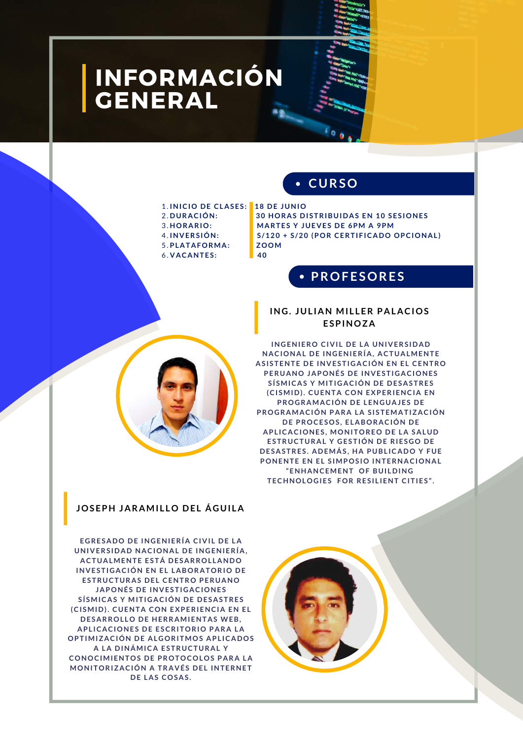## INFORMACIÓN GENERAL

#### **CURSO**

**HORARIO: MARTES Y JUEVES DE 6PM A 9PM**

- **INICIO DE CLASES : 18 DE JUNIO** 1.
- 2. DURACIÓN:
- 3. HORARIO:
- 4. INVERSIÓN:
- **PLATAFORMA: ZOOM** 5.

**INVERS IÓN: S /120 + S /20 (POR CERTIF ICADO OPCIONAL ) VACANTES : 40** 6.

**DURACIÓN: 30 HORAS DI STRIBUIDAS EN 10 SES IONES**

#### **PROFESORES**

#### **ING. JUL IAN MI L LER PALACIOS ESPINOZA**

**INGENIERO CIVI L DE LA UNIVERS IDAD NACIONAL DE INGENIERÍA, ACTUALMENTE AS I STENTE DE INVESTIGACIÓN EN EL CENTRO PERUANO JAPONÉS DE INVESTIGACIONES S ÍSMICAS Y MITIGACIÓN DE DESASTRES (CI SMID). CUENTA CON EXPERIENCIA EN PROGRAMACIÓN DE LENGUAJES DE PROGRAMACIÓN PARA LA S ISTEMATIZACIÓN DE PROCESOS , ELABORACIÓN DE APL ICACIONES , MONITOREO DE LA SALUD ESTRUCTURAL Y GESTIÓN DE RIESGO DE DESASTRES . ADEMÁS , HA PUBL ICADO Y FUE PONENTE EN EL S IMPOS IO INTERNACIONAL "ENHANCEMENT OF BUI LDING TECHNOLOGIES FOR RES IL IENT CITIES ".**

#### **JOSEPH JARAMI L LO DEL ÁGUI LA**

**EGRESADO DE INGENIERÍA CIVI L DE LA UNIVERS IDAD NACIONAL DE INGENIERÍA, ACTUALMENTE ESTÁ DESARROL LANDO INVESTIGACIÓN EN EL LABORATORIO DE ESTRUCTURAS DEL CENTRO PERUANO JAPONÉS DE INVESTIGACIONES S Í SMICAS Y MITIGACIÓN DE DESASTRES (CI SMID). CUENTA CON EXPERIENCIA EN EL DESARROL LO DE HERRAMIENTAS WEB, APL ICACIONES DE ESCRITORIO PARA LA OPTIMIZACIÓN DE ALGORITMOS APL ICADOS A LA DINÁMICA ESTRUCTURAL Y CONOCIMIENTOS DE PROTOCOLOS PARA LA MONITORIZACIÓN A TRAVÉS DEL INTERNET DE LAS COSAS .**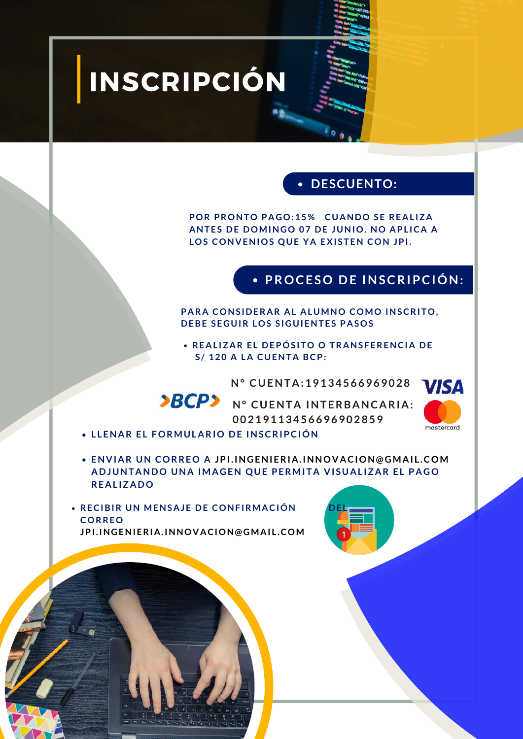## INSCRIPCIÓN

### **DESCUENTO:**

**POR PRONTO PAGO:15 % CUANDO SE REAL IZA ANTES DE DOMINGO 07 DE JUNIO. NO APL ICA A LOS CONVENIOS QUE YA EXI STEN CON JPI.**

#### **PROCESO DE INSCRIPCIÓN:**

**PARA CONS IDERAR AL ALUMNO COMO INSCRITO, DEBE SEGUIR LOS S IGUIENTES PASOS**

**REAL IZAR EL DEPÓS ITO O TRANS FERENCIA DE S / 120 A LA CUENTA BCP:**

**N° CUENTA:19134566969028**



**BCP**<sup>></sup> N° CUENTA INTERBANCARIA: **00219113456696902859**



- **L LENAR EL FORMULARIO DE INSCRIPCIÓN**
- **ENVIAR UN CORREO A JPI.INGENIERIA.INNOVACION @ GMAI L .COM ADJUNTANDO UNA IMAGEN QUE PERMITA VI SUAL IZAR EL PAGO REAL IZADO**

**RECIBIR UN MENSAJE DE CONFIRMACIÓN CORREO JPI.INGENIERIA.INNOVACION @ GMAI L .COM**

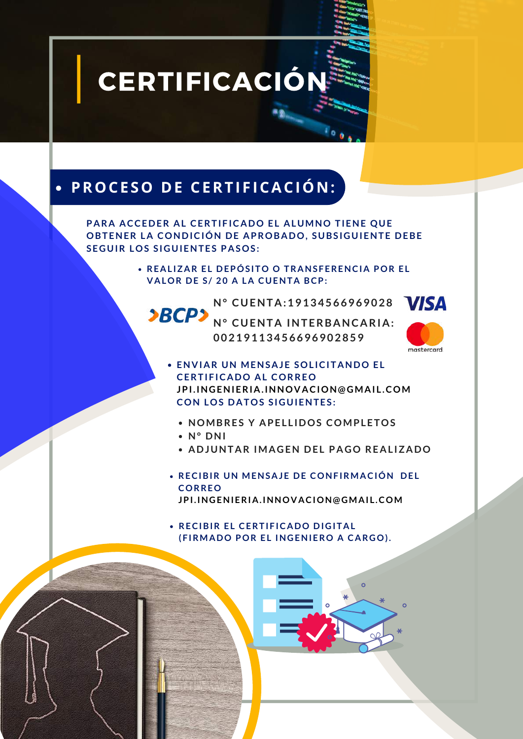**CERTIFICACIÓN** 

## **PROCESO DE CERTI F ICACIÓ N :**

**PARA ACCEDER AL CERTIFICADO EL ALUMNO TIENE QUE OBTENER LA CONDICIÓN DE APROBADO, SUBS IGUIENTE DEBE SEGUIR LOS S IGUIENTES PASOS :**

> **REAL IZAR EL DEPÓS ITO O TRANS FERENCIA POR EL VALOR DE S / 20 A LA CUENTA BCP:**

> > **N° CUENTA:19134566969028**

**N° CUENTA INTERBANCARIA: 00219113456696902859**



- **ENVIAR UN MENSAJE SOL ICITANDO EL CERTIFICADO AL CORREO JPI.INGENIERIA.INNOVACION @ GMAI L .COM CON LOS DATOS S IGUIENTES :**
	- **NOMBRES Y APEL L IDOS COMPLETOS**
	- **N° DNI**
	- **ADJUNTAR IMAGEN DEL PAGO REAL IZADO**
- **RECIBIR UN MENSAJE DE CONF IRMACIÓN DEL CORREO JPI.INGENIERIA.INNOVACION @ GMAI L .COM**

**RECIBIR EL CERTIF ICADO DIGITAL (F IRMADO POR EL INGENIERO A CARGO).**